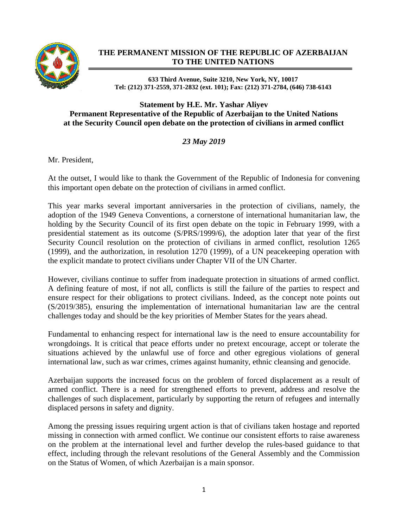

## **THE PERMANENT MISSION OF THE REPUBLIC OF AZERBAIJAN TO THE UNITED NATIONS**

**633 Third Avenue, Suite 3210, New York, NY, 10017 Tel: (212) 371-2559, 371-2832 (ext. 101); Fax: (212) 371-2784, (646) 738-6143**

## **Statement by H.E. Mr. Yashar Aliyev Permanent Representative of the Republic of Azerbaijan to the United Nations at the Security Council open debate on the protection of civilians in armed conflict**

## *23 May 2019*

Mr. President,

At the outset, I would like to thank the Government of the Republic of Indonesia for convening this important open debate on the protection of civilians in armed conflict.

This year marks several important anniversaries in the protection of civilians, namely, the adoption of the 1949 Geneva Conventions, a cornerstone of international humanitarian law, the holding by the Security Council of its first open debate on the topic in February 1999, with a presidential statement as its outcome (S/PRS/1999/6), the adoption later that year of the first Security Council resolution on the protection of civilians in armed conflict, resolution 1265 (1999), and the authorization, in resolution 1270 (1999), of a UN peacekeeping operation with the explicit mandate to protect civilians under Chapter VII of the UN Charter.

However, civilians continue to suffer from inadequate protection in situations of armed conflict. A defining feature of most, if not all, conflicts is still the failure of the parties to respect and ensure respect for their obligations to protect civilians. Indeed, as the concept note points out (S/2019/385), ensuring the implementation of international humanitarian law are the central challenges today and should be the key priorities of Member States for the years ahead.

Fundamental to enhancing respect for international law is the need to ensure accountability for wrongdoings. It is critical that peace efforts under no pretext encourage, accept or tolerate the situations achieved by the unlawful use of force and other egregious violations of general international law, such as war crimes, crimes against humanity, ethnic cleansing and genocide.

Azerbaijan supports the increased focus on the problem of forced displacement as a result of armed conflict. There is a need for strengthened efforts to prevent, address and resolve the challenges of such displacement, particularly by supporting the return of refugees and internally displaced persons in safety and dignity.

Among the pressing issues requiring urgent action is that of civilians taken hostage and reported missing in connection with armed conflict. We continue our consistent efforts to raise awareness on the problem at the international level and further develop the rules-based guidance to that effect, including through the relevant resolutions of the General Assembly and the Commission on the Status of Women, of which Azerbaijan is a main sponsor.